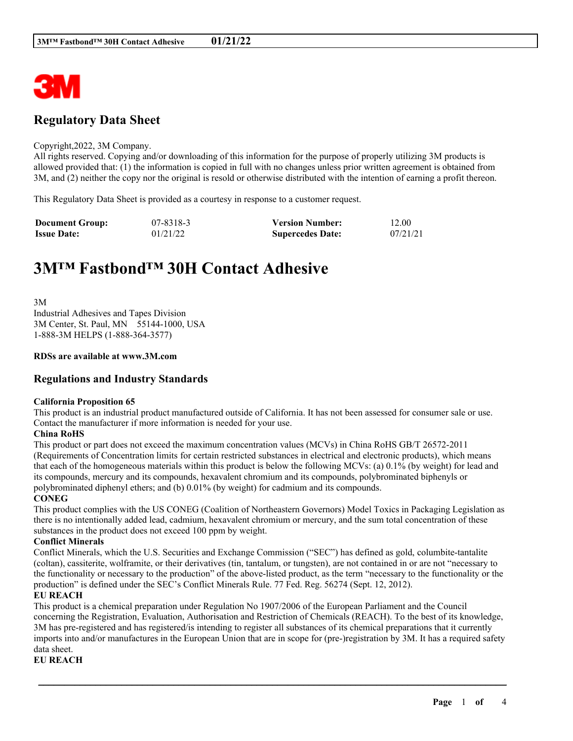

## **Regulatory Data Sheet**

#### Copyright,2022, 3M Company.

All rights reserved. Copying and/or downloading of this information for the purpose of properly utilizing 3M products is allowed provided that: (1) the information is copied in full with no changes unless prior written agreement is obtained from 3M, and (2) neither the copy nor the original is resold or otherwise distributed with the intention of earning a profit thereon.

This Regulatory Data Sheet is provided as a courtesy in response to a customer request.

| <b>Document Group:</b> | 07-8318-3 | <b>Version Number:</b>  | 12.00    |
|------------------------|-----------|-------------------------|----------|
| <b>Issue Date:</b>     | 01/21/22  | <b>Supercedes Date:</b> | 07/21/21 |

# **3M™ Fastbond™ 30H Contact Adhesive**

3M Industrial Adhesives and Tapes Division 3M Center, St. Paul, MN 55144-1000, USA 1-888-3M HELPS (1-888-364-3577)

#### **RDSs are available at www.3M.com**

## **Regulations and Industry Standards**

#### **California Proposition 65**

This product is an industrial product manufactured outside of California. It has not been assessed for consumer sale or use. Contact the manufacturer if more information is needed for your use.

#### **China RoHS**

This product or part does not exceed the maximum concentration values (MCVs) in China RoHS GB/T 26572-2011 (Requirements of Concentration limits for certain restricted substances in electrical and electronic products), which means that each of the homogeneous materials within this product is below the following MCVs: (a) 0.1% (by weight) for lead and its compounds, mercury and its compounds, hexavalent chromium and its compounds, polybrominated biphenyls or polybrominated diphenyl ethers; and (b) 0.01% (by weight) for cadmium and its compounds.

#### **CONEG**

This product complies with the US CONEG (Coalition of Northeastern Governors) Model Toxics in Packaging Legislation as there is no intentionally added lead, cadmium, hexavalent chromium or mercury, and the sum total concentration of these substances in the product does not exceed 100 ppm by weight.

#### **Conflict Minerals**

Conflict Minerals, which the U.S. Securities and Exchange Commission ("SEC") has defined as gold, columbite-tantalite (coltan), cassiterite, wolframite, or their derivatives (tin, tantalum, or tungsten), are not contained in or are not "necessary to the functionality or necessary to the production" of the above-listed product, as the term "necessary to the functionality or the production" is defined under the SEC's Conflict Minerals Rule. 77 Fed. Reg. 56274 (Sept. 12, 2012).

#### **EU REACH**

This product is a chemical preparation under Regulation No 1907/2006 of the European Parliament and the Council concerning the Registration, Evaluation, Authorisation and Restriction of Chemicals (REACH). To the best of its knowledge, 3M has pre-registered and has registered/is intending to register all substances of its chemical preparations that it currently imports into and/or manufactures in the European Union that are in scope for (pre-)registration by 3M. It has a required safety data sheet.

\_\_\_\_\_\_\_\_\_\_\_\_\_\_\_\_\_\_\_\_\_\_\_\_\_\_\_\_\_\_\_\_\_\_\_\_\_\_\_\_\_\_\_\_\_\_\_\_\_\_\_\_\_\_\_\_\_\_\_\_\_\_\_\_\_\_\_\_\_\_\_\_\_\_\_\_\_\_\_\_\_\_\_\_\_\_\_\_\_\_

**EU REACH**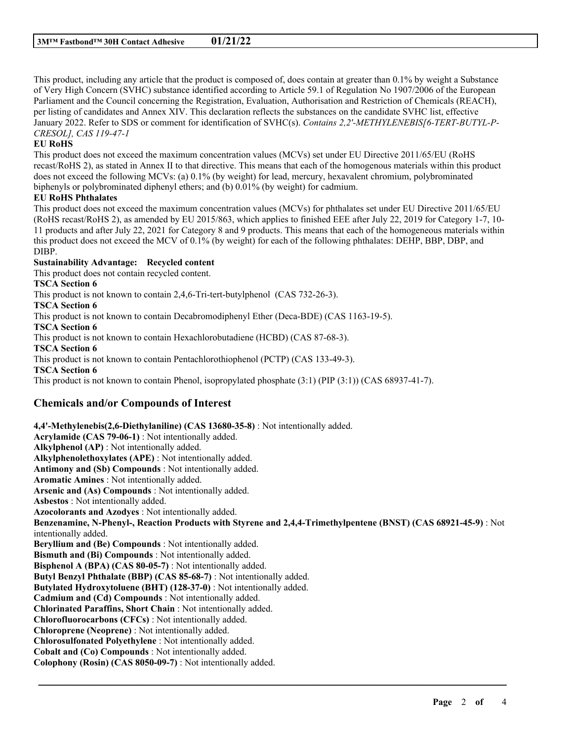This product, including any article that the product is composed of, does contain at greater than 0.1% by weight a Substance of Very High Concern (SVHC) substance identified according to Article 59.1 of Regulation No 1907/2006 of the European Parliament and the Council concerning the Registration, Evaluation, Authorisation and Restriction of Chemicals (REACH), per listing of candidates and Annex XIV. This declaration reflects the substances on the candidate SVHC list, effective January 2022. Refer to SDS or comment for identification of SVHC(s). *Contains 2,2'-METHYLENEBIS[6-TERT-BUTYL-P-CRESOL], CAS 119-47-1*

### **EU RoHS**

This product does not exceed the maximum concentration values (MCVs) set under EU Directive 2011/65/EU (RoHS recast/RoHS 2), as stated in Annex II to that directive. This means that each of the homogenous materials within this product does not exceed the following MCVs: (a) 0.1% (by weight) for lead, mercury, hexavalent chromium, polybrominated biphenyls or polybrominated diphenyl ethers; and (b) 0.01% (by weight) for cadmium.

#### **EU RoHS Phthalates**

This product does not exceed the maximum concentration values (MCVs) for phthalates set under EU Directive 2011/65/EU (RoHS recast/RoHS 2), as amended by EU 2015/863, which applies to finished EEE after July 22, 2019 for Category 1-7, 10- 11 products and after July 22, 2021 for Category 8 and 9 products. This means that each of the homogeneous materials within this product does not exceed the MCV of 0.1% (by weight) for each of the following phthalates: DEHP, BBP, DBP, and DIBP.

## **Sustainability Advantage: Recycled content**

This product does not contain recycled content.

**TSCA Section 6**

This product is not known to contain 2,4,6-Tri-tert-butylphenol (CAS 732-26-3).

**TSCA Section 6**

This product is not known to contain Decabromodiphenyl Ether (Deca-BDE) (CAS 1163-19-5).

**TSCA Section 6**

This product is not known to contain Hexachlorobutadiene (HCBD) (CAS 87-68-3).

**TSCA Section 6**

This product is not known to contain Pentachlorothiophenol (PCTP) (CAS 133-49-3).

**TSCA Section 6**

This product is not known to contain Phenol, isopropylated phosphate (3:1) (PIP (3:1)) (CAS 68937-41-7).

## **Chemicals and/or Compounds of Interest**

**4,4'-Methylenebis(2,6-Diethylaniline) (CAS 13680-35-8)** : Not intentionally added. **Acrylamide (CAS 79-06-1)** : Not intentionally added. **Alkylphenol (AP)** : Not intentionally added. **Alkylphenolethoxylates (APE)** : Not intentionally added. **Antimony and (Sb) Compounds** : Not intentionally added. **Aromatic Amines** : Not intentionally added. **Arsenic and (As) Compounds** : Not intentionally added. **Asbestos** : Not intentionally added. **Azocolorants and Azodyes** : Not intentionally added. **Benzenamine, N-Phenyl-, Reaction Products with Styrene and 2,4,4-Trimethylpentene (BNST) (CAS 68921-45-9)** : Not intentionally added. **Beryllium and (Be) Compounds** : Not intentionally added. **Bismuth and (Bi) Compounds** : Not intentionally added. **Bisphenol A (BPA) (CAS 80-05-7)** : Not intentionally added. **Butyl Benzyl Phthalate (BBP) (CAS 85-68-7)** : Not intentionally added. **Butylated Hydroxytoluene (BHT) (128-37-0)** : Not intentionally added. **Cadmium and (Cd) Compounds** : Not intentionally added. **Chlorinated Paraffins, Short Chain** : Not intentionally added. **Chlorofluorocarbons (CFCs)** : Not intentionally added. **Chloroprene (Neoprene)** : Not intentionally added. **Chlorosulfonated Polyethylene** : Not intentionally added. **Cobalt and (Co) Compounds** : Not intentionally added. **Colophony (Rosin) (CAS 8050-09-7)** : Not intentionally added.

\_\_\_\_\_\_\_\_\_\_\_\_\_\_\_\_\_\_\_\_\_\_\_\_\_\_\_\_\_\_\_\_\_\_\_\_\_\_\_\_\_\_\_\_\_\_\_\_\_\_\_\_\_\_\_\_\_\_\_\_\_\_\_\_\_\_\_\_\_\_\_\_\_\_\_\_\_\_\_\_\_\_\_\_\_\_\_\_\_\_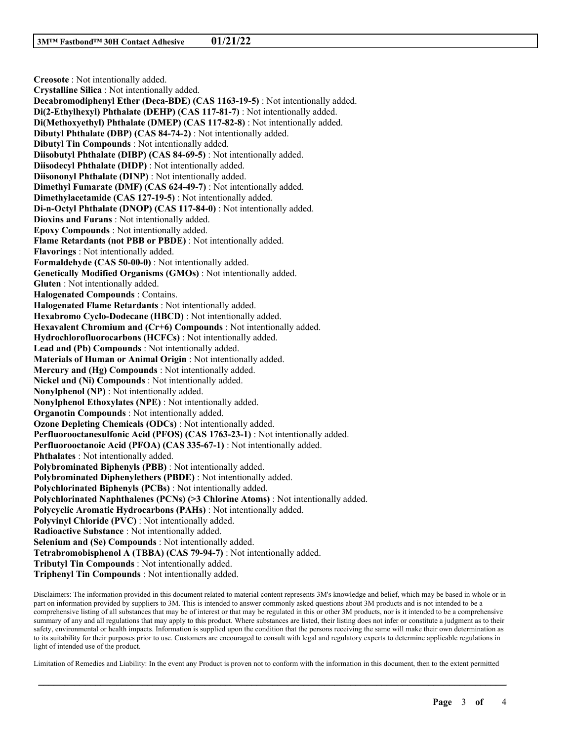**Creosote** : Not intentionally added. **Crystalline Silica** : Not intentionally added. **Decabromodiphenyl Ether (Deca-BDE) (CAS 1163-19-5)** : Not intentionally added. **Di(2-Ethylhexyl) Phthalate (DEHP) (CAS 117-81-7)** : Not intentionally added. **Di(Methoxyethyl) Phthalate (DMEP) (CAS 117-82-8)** : Not intentionally added. **Dibutyl Phthalate (DBP) (CAS 84-74-2)** : Not intentionally added. **Dibutyl Tin Compounds** : Not intentionally added. **Diisobutyl Phthalate (DIBP) (CAS 84-69-5)** : Not intentionally added. **Diisodecyl Phthalate (DIDP)** : Not intentionally added. **Diisononyl Phthalate (DINP)** : Not intentionally added. **Dimethyl Fumarate (DMF) (CAS 624-49-7)** : Not intentionally added. **Dimethylacetamide (CAS 127-19-5)** : Not intentionally added. **Di-n-Octyl Phthalate (DNOP) (CAS 117-84-0)** : Not intentionally added. **Dioxins and Furans** : Not intentionally added. **Epoxy Compounds** : Not intentionally added. **Flame Retardants (not PBB or PBDE)** : Not intentionally added. **Flavorings** : Not intentionally added. **Formaldehyde (CAS 50-00-0)** : Not intentionally added. **Genetically Modified Organisms (GMOs)** : Not intentionally added. **Gluten** : Not intentionally added. **Halogenated Compounds** : Contains. **Halogenated Flame Retardants** : Not intentionally added. **Hexabromo Cyclo-Dodecane (HBCD)** : Not intentionally added. **Hexavalent Chromium and (Cr+6) Compounds** : Not intentionally added. **Hydrochlorofluorocarbons (HCFCs)** : Not intentionally added. **Lead and (Pb) Compounds** : Not intentionally added. **Materials of Human or Animal Origin** : Not intentionally added. **Mercury and (Hg) Compounds** : Not intentionally added. **Nickel and (Ni) Compounds** : Not intentionally added. **Nonylphenol (NP)** : Not intentionally added. **Nonylphenol Ethoxylates (NPE)** : Not intentionally added. **Organotin Compounds** : Not intentionally added. **Ozone Depleting Chemicals (ODCs)** : Not intentionally added. **Perfluorooctanesulfonic Acid (PFOS) (CAS 1763-23-1)** : Not intentionally added. **Perfluorooctanoic Acid (PFOA) (CAS 335-67-1)** : Not intentionally added. **Phthalates** : Not intentionally added. **Polybrominated Biphenyls (PBB)** : Not intentionally added. **Polybrominated Diphenylethers (PBDE)** : Not intentionally added. **Polychlorinated Biphenyls (PCBs)** : Not intentionally added. **Polychlorinated Naphthalenes (PCNs) (>3 Chlorine Atoms)** : Not intentionally added. **Polycyclic Aromatic Hydrocarbons (PAHs)** : Not intentionally added. **Polyvinyl Chloride (PVC)** : Not intentionally added. **Radioactive Substance** : Not intentionally added. **Selenium and (Se) Compounds** : Not intentionally added. **Tetrabromobisphenol A (TBBA) (CAS 79-94-7)** : Not intentionally added. **Tributyl Tin Compounds** : Not intentionally added. **Triphenyl Tin Compounds** : Not intentionally added.

Disclaimers: The information provided in this document related to material content represents 3M's knowledge and belief, which may be based in whole or in part on information provided by suppliers to 3M. This is intended to answer commonly asked questions about 3M products and is not intended to be a comprehensive listing of all substances that may be of interest or that may be regulated in this or other 3M products, nor is it intended to be a comprehensive summary of any and all regulations that may apply to this product. Where substances are listed, their listing does not infer or constitute a judgment as to their safety, environmental or health impacts. Information is supplied upon the condition that the persons receiving the same will make their own determination as to its suitability for their purposes prior to use. Customers are encouraged to consult with legal and regulatory experts to determine applicable regulations in light of intended use of the product.

Limitation of Remedies and Liability: In the event any Product is proven not to conform with the information in this document, then to the extent permitted

\_\_\_\_\_\_\_\_\_\_\_\_\_\_\_\_\_\_\_\_\_\_\_\_\_\_\_\_\_\_\_\_\_\_\_\_\_\_\_\_\_\_\_\_\_\_\_\_\_\_\_\_\_\_\_\_\_\_\_\_\_\_\_\_\_\_\_\_\_\_\_\_\_\_\_\_\_\_\_\_\_\_\_\_\_\_\_\_\_\_